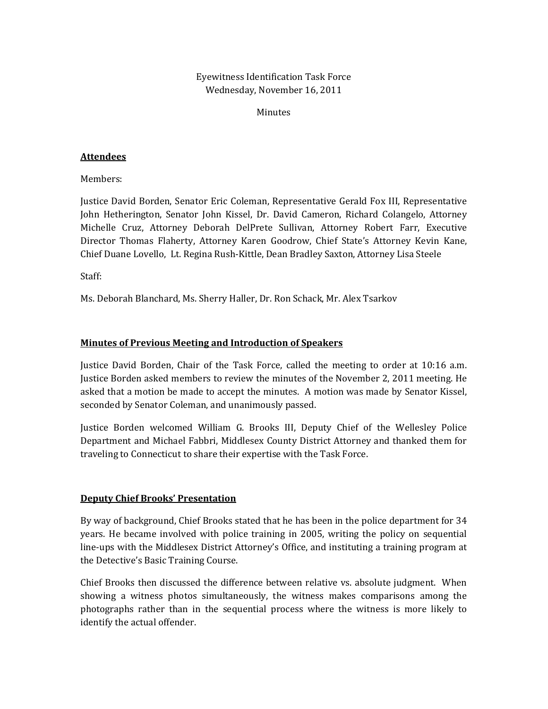Eyewitness Identification Task Force Wednesday, November 16, 2011

Minutes

#### **Attendees**

Members:

Justice David Borden, Senator Eric Coleman, Representative Gerald Fox III, Representative John Hetherington, Senator John Kissel, Dr. David Cameron, Richard Colangelo, Attorney Michelle Cruz, Attorney Deborah DelPrete Sullivan, Attorney Robert Farr, Executive Director Thomas Flaherty, Attorney Karen Goodrow, Chief State's Attorney Kevin Kane, Chief Duane Lovello, Lt. Regina Rush‐Kittle, Dean Bradley Saxton, Attorney Lisa Steele

Staff:

Ms. Deborah Blanchard, Ms. Sherry Haller, Dr. Ron Schack, Mr. Alex Tsarkov

## **Minutes of Previous Meeting and Introduction of Speakers**

Justice David Borden, Chair of the Task Force, called the meeting to order at 10:16 a.m. Justice Borden asked members to review the minutes of the November 2, 2011 meeting. He asked that a motion be made to accept the minutes. A motion was made by Senator Kissel, seconded by Senator Coleman, and unanimously passed.

Justice Borden welcomed William G. Brooks III, Deputy Chief of the Wellesley Police Department and Michael Fabbri, Middlesex County District Attorney and thanked them for traveling to Connecticut to share their expertise with the Task Force.

#### **Deputy Chief Brooks' Presentation**

By way of background, Chief Brooks stated that he has been in the police department for 34 years. He became involved with police training in 2005, writing the policy on sequential line‐ups with the Middlesex District Attorney's Office, and instituting a training program at the Detective's Basic Training Course.

Chief Brooks then discussed the difference between relative vs. absolute judgment. When showing a witness photos simultaneously, the witness makes comparisons among the photographs rather than in the sequential process where the witness is more likely to identify the actual offender.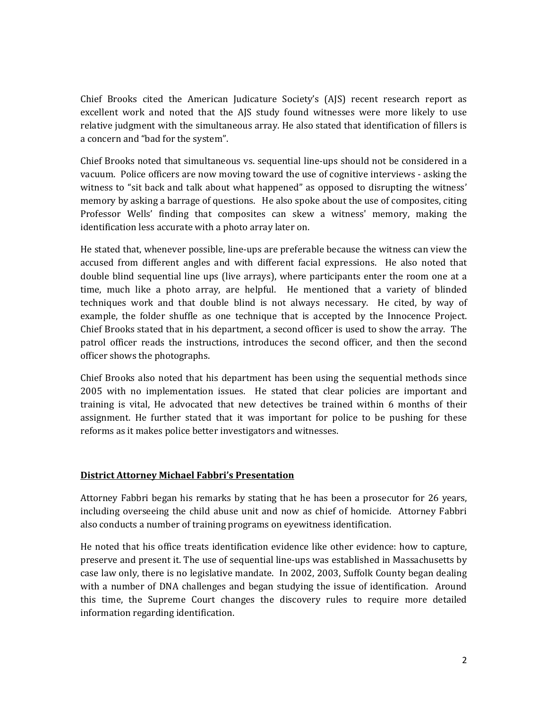Chief Brooks cited the American Judicature Society's (AJS) recent research report as excellent work and noted that the AJS study found witnesses were more likely to use relative judgment with the simultaneous array. He also stated that identification of fillers is a concern and "bad for the system".

Chief Brooks noted that simultaneous vs. sequential line‐ups should not be considered in a vacuum. Police officers are now moving toward the use of cognitive interviews ‐ asking the witness to "sit back and talk about what happened" as opposed to disrupting the witness' memory by asking a barrage of questions. He also spoke about the use of composites, citing Professor Wells' finding that composites can skew a witness' memory, making the identification less accurate with a photo array later on.

He stated that, whenever possible, line‐ups are preferable because the witness can view the accused from different angles and with different facial expressions. He also noted that double blind sequential line ups (live arrays), where participants enter the room one at a time, much like a photo array, are helpful. He mentioned that a variety of blinded techniques work and that double blind is not always necessary. He cited, by way of example, the folder shuffle as one technique that is accepted by the Innocence Project. Chief Brooks stated that in his department, a second officer is used to show the array. The patrol officer reads the instructions, introduces the second officer, and then the second officer shows the photographs.

Chief Brooks also noted that his department has been using the sequential methods since 2005 with no implementation issues. He stated that clear policies are important and training is vital, He advocated that new detectives be trained within 6 months of their assignment. He further stated that it was important for police to be pushing for these reforms as it makes police better investigators and witnesses.

## **District Attorney Michael Fabbri's Presentation**

Attorney Fabbri began his remarks by stating that he has been a prosecutor for 26 years, including overseeing the child abuse unit and now as chief of homicide. Attorney Fabbri also conducts a number of training programs on eyewitness identification.

He noted that his office treats identification evidence like other evidence: how to capture, preserve and present it. The use of sequential line‐ups was established in Massachusetts by case law only, there is no legislative mandate. In 2002, 2003, Suffolk County began dealing with a number of DNA challenges and began studying the issue of identification. Around this time, the Supreme Court changes the discovery rules to require more detailed information regarding identification.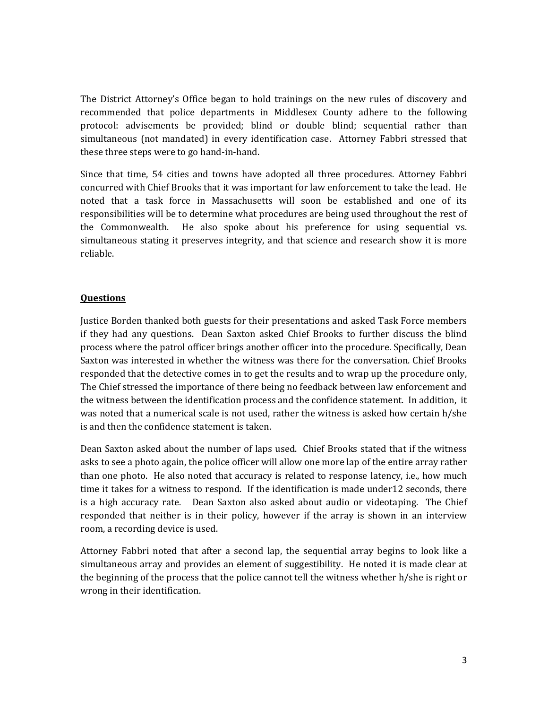The District Attorney's Office began to hold trainings on the new rules of discovery and recommended that police departments in Middlesex County adhere to the following protocol: advisements be provided; blind or double blind; sequential rather than simultaneous (not mandated) in every identification case. Attorney Fabbri stressed that these three steps were to go hand‐in‐hand.

Since that time, 54 cities and towns have adopted all three procedures. Attorney Fabbri concurred with Chief Brooks that it was important for law enforcement to take the lead. He noted that a task force in Massachusetts will soon be established and one of its responsibilities will be to determine what procedures are being used throughout the rest of the Commonwealth. He also spoke about his preference for using sequential vs. simultaneous stating it preserves integrity, and that science and research show it is more reliable.

# **Questions**

Justice Borden thanked both guests for their presentations and asked Task Force members if they had any questions. Dean Saxton asked Chief Brooks to further discuss the blind process where the patrol officer brings another officer into the procedure. Specifically, Dean Saxton was interested in whether the witness was there for the conversation. Chief Brooks responded that the detective comes in to get the results and to wrap up the procedure only, The Chief stressed the importance of there being no feedback between law enforcement and the witness between the identification process and the confidence statement. In addition, it was noted that a numerical scale is not used, rather the witness is asked how certain h/she is and then the confidence statement is taken.

Dean Saxton asked about the number of laps used. Chief Brooks stated that if the witness asks to see a photo again, the police officer will allow one more lap of the entire array rather than one photo. He also noted that accuracy is related to response latency, i.e., how much time it takes for a witness to respond. If the identification is made under12 seconds, there is a high accuracy rate. Dean Saxton also asked about audio or videotaping. The Chief responded that neither is in their policy, however if the array is shown in an interview room, a recording device is used.

Attorney Fabbri noted that after a second lap, the sequential array begins to look like a simultaneous array and provides an element of suggestibility. He noted it is made clear at the beginning of the process that the police cannot tell the witness whether h/she is right or wrong in their identification.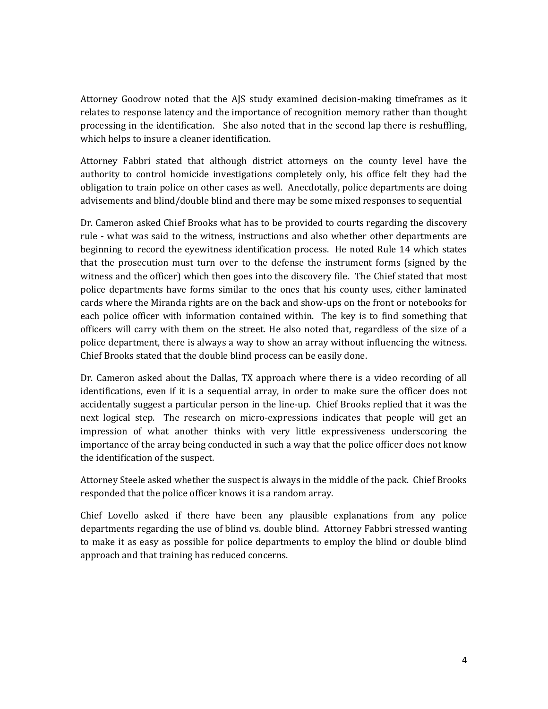Attorney Goodrow noted that the AJS study examined decision-making timeframes as it relates to response latency and the importance of recognition memory rather than thought processing in the identification. She also noted that in the second lap there is reshuffling, which helps to insure a cleaner identification.

Attorney Fabbri stated that although district attorneys on the county level have the authority to control homicide investigations completely only, his office felt they had the obligation to train police on other cases as well. Anecdotally, police departments are doing advisements and blind/double blind and there may be some mixed responses to sequential

Dr. Cameron asked Chief Brooks what has to be provided to courts regarding the discovery rule - what was said to the witness, instructions and also whether other departments are beginning to record the eyewitness identification process. He noted Rule 14 which states that the prosecution must turn over to the defense the instrument forms (signed by the witness and the officer) which then goes into the discovery file. The Chief stated that most police departments have forms similar to the ones that his county uses, either laminated cards where the Miranda rights are on the back and show‐ups on the front or notebooks for each police officer with information contained within. The key is to find something that officers will carry with them on the street. He also noted that, regardless of the size of a police department, there is always a way to show an array without influencing the witness. Chief Brooks stated that the double blind process can be easily done.

Dr. Cameron asked about the Dallas, TX approach where there is a video recording of all identifications, even if it is a sequential array, in order to make sure the officer does not accidentally suggest a particular person in the line‐up. Chief Brooks replied that it was the next logical step. The research on micro-expressions indicates that people will get an impression of what another thinks with very little expressiveness underscoring the importance of the array being conducted in such a way that the police officer does not know the identification of the suspect.

Attorney Steele asked whether the suspect is always in the middle of the pack. Chief Brooks responded that the police officer knows it is a random array.

Chief Lovello asked if there have been any plausible explanations from any police departments regarding the use of blind vs. double blind. Attorney Fabbri stressed wanting to make it as easy as possible for police departments to employ the blind or double blind approach and that training has reduced concerns.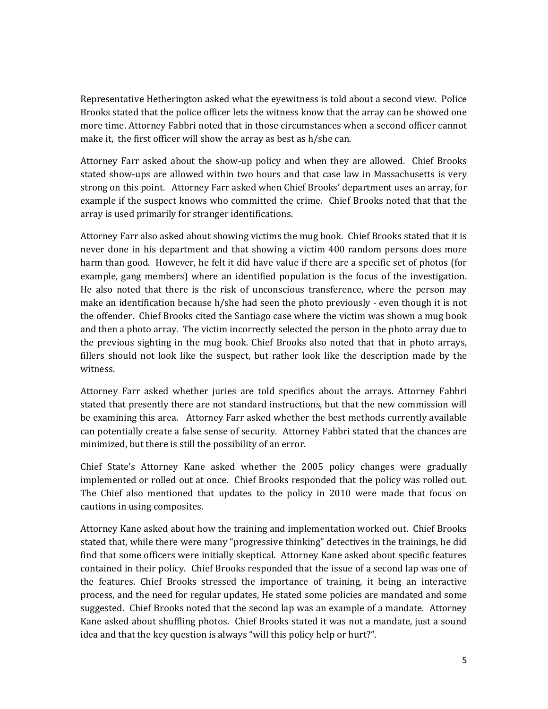Representative Hetherington asked what the eyewitness is told about a second view. Police Brooks stated that the police officer lets the witness know that the array can be showed one more time. Attorney Fabbri noted that in those circumstances when a second officer cannot make it, the first officer will show the array as best as h/she can.

Attorney Farr asked about the show-up policy and when they are allowed. Chief Brooks stated show‐ups are allowed within two hours and that case law in Massachusetts is very strong on this point. Attorney Farr asked when Chief Brooks' department uses an array, for example if the suspect knows who committed the crime. Chief Brooks noted that that the array is used primarily for stranger identifications.

Attorney Farr also asked about showing victims the mug book. Chief Brooks stated that it is never done in his department and that showing a victim 400 random persons does more harm than good. However, he felt it did have value if there are a specific set of photos (for example, gang members) where an identified population is the focus of the investigation. He also noted that there is the risk of unconscious transference, where the person may make an identification because h/she had seen the photo previously ‐ even though it is not the offender. Chief Brooks cited the Santiago case where the victim was shown a mug book and then a photo array. The victim incorrectly selected the person in the photo array due to the previous sighting in the mug book. Chief Brooks also noted that that in photo arrays, fillers should not look like the suspect, but rather look like the description made by the witness.

Attorney Farr asked whether juries are told specifics about the arrays. Attorney Fabbri stated that presently there are not standard instructions, but that the new commission will be examining this area. Attorney Farr asked whether the best methods currently available can potentially create a false sense of security. Attorney Fabbri stated that the chances are minimized, but there is still the possibility of an error.

Chief State's Attorney Kane asked whether the 2005 policy changes were gradually implemented or rolled out at once. Chief Brooks responded that the policy was rolled out. The Chief also mentioned that updates to the policy in 2010 were made that focus on cautions in using composites.

Attorney Kane asked about how the training and implementation worked out. Chief Brooks stated that, while there were many "progressive thinking" detectives in the trainings, he did find that some officers were initially skeptical. Attorney Kane asked about specific features contained in their policy. Chief Brooks responded that the issue of a second lap was one of the features. Chief Brooks stressed the importance of training, it being an interactive process, and the need for regular updates, He stated some policies are mandated and some suggested. Chief Brooks noted that the second lap was an example of a mandate. Attorney Kane asked about shuffling photos. Chief Brooks stated it was not a mandate, just a sound idea and that the key question is always "will this policy help or hurt?".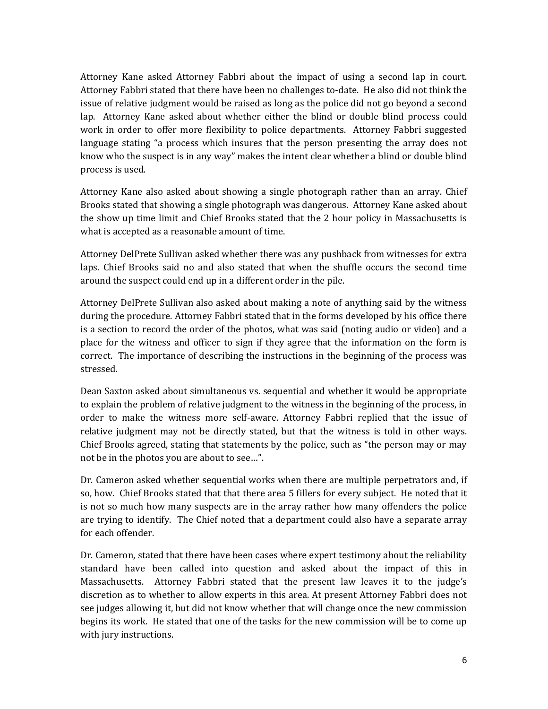Attorney Kane asked Attorney Fabbri about the impact of using a second lap in court. Attorney Fabbri stated that there have been no challenges to‐date. He also did not think the issue of relative judgment would be raised as long as the police did not go beyond a second lap. Attorney Kane asked about whether either the blind or double blind process could work in order to offer more flexibility to police departments. Attorney Fabbri suggested language stating "a process which insures that the person presenting the array does not know who the suspect is in any way" makes the intent clear whether a blind or double blind process is used.

Attorney Kane also asked about showing a single photograph rather than an array. Chief Brooks stated that showing a single photograph was dangerous. Attorney Kane asked about the show up time limit and Chief Brooks stated that the 2 hour policy in Massachusetts is what is accepted as a reasonable amount of time.

Attorney DelPrete Sullivan asked whether there was any pushback from witnesses for extra laps. Chief Brooks said no and also stated that when the shuffle occurs the second time around the suspect could end up in a different order in the pile.

Attorney DelPrete Sullivan also asked about making a note of anything said by the witness during the procedure. Attorney Fabbri stated that in the forms developed by his office there is a section to record the order of the photos, what was said (noting audio or video) and a place for the witness and officer to sign if they agree that the information on the form is correct. The importance of describing the instructions in the beginning of the process was stressed.

Dean Saxton asked about simultaneous vs. sequential and whether it would be appropriate to explain the problem of relative judgment to the witness in the beginning of the process, in order to make the witness more self-aware. Attorney Fabbri replied that the issue of relative judgment may not be directly stated, but that the witness is told in other ways. Chief Brooks agreed, stating that statements by the police, such as "the person may or may not be in the photos you are about to see…".

Dr. Cameron asked whether sequential works when there are multiple perpetrators and, if so, how. Chief Brooks stated that that there area 5 fillers for every subject. He noted that it is not so much how many suspects are in the array rather how many offenders the police are trying to identify. The Chief noted that a department could also have a separate array for each offender.

Dr. Cameron, stated that there have been cases where expert testimony about the reliability standard have been called into question and asked about the impact of this in Massachusetts. Attorney Fabbri stated that the present law leaves it to the judge's discretion as to whether to allow experts in this area. At present Attorney Fabbri does not see judges allowing it, but did not know whether that will change once the new commission begins its work. He stated that one of the tasks for the new commission will be to come up with jury instructions.